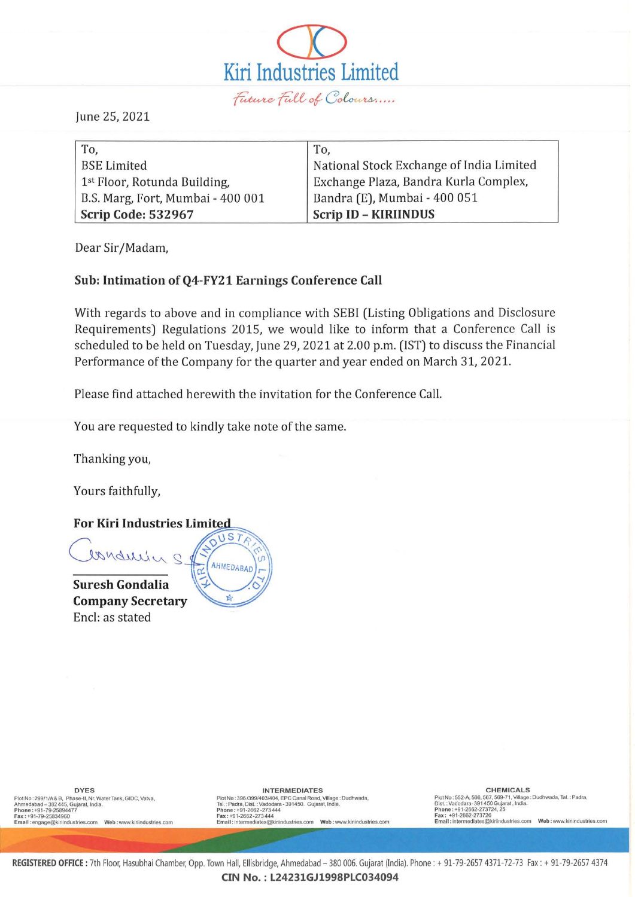

June 25, 2021

| To,                               | To,                                      |
|-----------------------------------|------------------------------------------|
| <b>BSE Limited</b>                | National Stock Exchange of India Limited |
| 1st Floor, Rotunda Building,      | Exchange Plaza, Bandra Kurla Complex,    |
| B.S. Marg, Fort, Mumbai - 400 001 | Bandra (E), Mumbai - 400 051             |
| Scrip Code: 532967                | <b>Scrip ID - KIRIINDUS</b>              |

Dear Sir/Madam,

## **Sub: Intimation ofQ4-FY21 Earnings Conference Call**

With regards to above and in compliance with SESI (Listing Obligations and Disclosure Requirements) Regulations 2015, we would like to inform that a Conference Call is scheduled to be held on Tuesday, June 29, 2021 at 2.00 p.m. (1ST) to discuss the Financial Performance of the Company for the quarter and year ended on March 31, 2021.

Please find attached herewith the invitation for the Conference Call.

You are requested to kindly take note of the same.

Thanking you,

Yours faithfully,

## **For Kiri Industries Limited**



**Suresh Gondalia Company Secretary**  Encl: as stated



Plot No : 299/1/A&B,Phase-II, Nr. Water Tank, GIDC, Vatva,<br>Ahmedabad -- 382 445, Gujarat, India.

DYES<br>Plot No:299/1/A&B, Phane 382445, CHEMICALS<br>Ahmedabad – 382445, Gujarat, India. (GIDC, Vatva, Mac Plot No:396/399/4044, Plot No:396/399/4044, Plot No:396/<br>Phone : +91-79-2582-477, Village: Dudhwada, Tal. : Padra, Dist **Piol No: 552-A, 566, 567. 569·71, Village: Dudhwada, Tal.: Padra, Oisl. : Vadodara- 391 450 Gu]ara! ,India.** 

REGISTERED OFFICE: 7th Floor, Hasubhai Chamber, Opp. Town Hall, Ellisbridge, Ahmedabad - 380 006. Gujarat (India). Phone: + 91-79-2657 4371-72-73 Fax: + 91-79-2657 4374 **CIN No. :L24231GJ1998PLC034094**